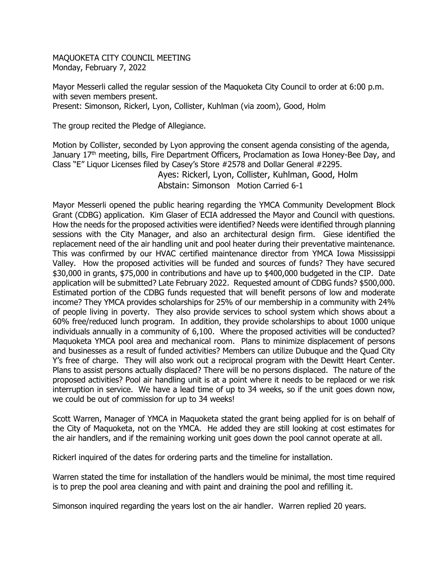MAQUOKETA CITY COUNCIL MEETING Monday, February 7, 2022

Mayor Messerli called the regular session of the Maquoketa City Council to order at 6:00 p.m. with seven members present. Present: Simonson, Rickerl, Lyon, Collister, Kuhlman (via zoom), Good, Holm

The group recited the Pledge of Allegiance.

Motion by Collister, seconded by Lyon approving the consent agenda consisting of the agenda, January 17<sup>th</sup> meeting, bills, Fire Department Officers, Proclamation as Iowa Honey-Bee Day, and Class "E" Liquor Licenses filed by Casey's Store #2578 and Dollar General #2295.

> Ayes: Rickerl, Lyon, Collister, Kuhlman, Good, Holm Abstain: Simonson Motion Carried 6-1

Mayor Messerli opened the public hearing regarding the YMCA Community Development Block Grant (CDBG) application. Kim Glaser of ECIA addressed the Mayor and Council with questions. How the needs for the proposed activities were identified? Needs were identified through planning sessions with the City Manager, and also an architectural design firm. Giese identified the replacement need of the air handling unit and pool heater during their preventative maintenance. This was confirmed by our HVAC certified maintenance director from YMCA Iowa Mississippi Valley. How the proposed activities will be funded and sources of funds? They have secured \$30,000 in grants, \$75,000 in contributions and have up to \$400,000 budgeted in the CIP. Date application will be submitted? Late February 2022. Requested amount of CDBG funds? \$500,000. Estimated portion of the CDBG funds requested that will benefit persons of low and moderate income? They YMCA provides scholarships for 25% of our membership in a community with 24% of people living in poverty. They also provide services to school system which shows about a 60% free/reduced lunch program. In addition, they provide scholarships to about 1000 unique individuals annually in a community of 6,100. Where the proposed activities will be conducted? Maquoketa YMCA pool area and mechanical room. Plans to minimize displacement of persons and businesses as a result of funded activities? Members can utilize Dubuque and the Quad City Y's free of charge. They will also work out a reciprocal program with the Dewitt Heart Center. Plans to assist persons actually displaced? There will be no persons displaced. The nature of the proposed activities? Pool air handling unit is at a point where it needs to be replaced or we risk interruption in service. We have a lead time of up to 34 weeks, so if the unit goes down now, we could be out of commission for up to 34 weeks!

Scott Warren, Manager of YMCA in Maquoketa stated the grant being applied for is on behalf of the City of Maquoketa, not on the YMCA. He added they are still looking at cost estimates for the air handlers, and if the remaining working unit goes down the pool cannot operate at all.

Rickerl inquired of the dates for ordering parts and the timeline for installation.

Warren stated the time for installation of the handlers would be minimal, the most time required is to prep the pool area cleaning and with paint and draining the pool and refilling it.

Simonson inquired regarding the years lost on the air handler. Warren replied 20 years.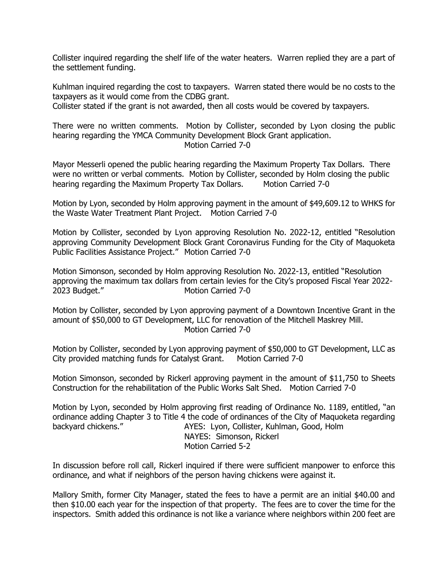Collister inquired regarding the shelf life of the water heaters. Warren replied they are a part of the settlement funding.

Kuhlman inquired regarding the cost to taxpayers. Warren stated there would be no costs to the taxpayers as it would come from the CDBG grant.

Collister stated if the grant is not awarded, then all costs would be covered by taxpayers.

There were no written comments. Motion by Collister, seconded by Lyon closing the public hearing regarding the YMCA Community Development Block Grant application. Motion Carried 7-0

Mayor Messerli opened the public hearing regarding the Maximum Property Tax Dollars. There were no written or verbal comments. Motion by Collister, seconded by Holm closing the public hearing regarding the Maximum Property Tax Dollars. Motion Carried 7-0

Motion by Lyon, seconded by Holm approving payment in the amount of \$49,609.12 to WHKS for the Waste Water Treatment Plant Project. Motion Carried 7-0

Motion by Collister, seconded by Lyon approving Resolution No. 2022-12, entitled "Resolution approving Community Development Block Grant Coronavirus Funding for the City of Maquoketa Public Facilities Assistance Project." Motion Carried 7-0

Motion Simonson, seconded by Holm approving Resolution No. 2022-13, entitled "Resolution approving the maximum tax dollars from certain levies for the City's proposed Fiscal Year 2022- 2023 Budget." Motion Carried 7-0

Motion by Collister, seconded by Lyon approving payment of a Downtown Incentive Grant in the amount of \$50,000 to GT Development, LLC for renovation of the Mitchell Maskrey Mill. Motion Carried 7-0

Motion by Collister, seconded by Lyon approving payment of \$50,000 to GT Development, LLC as City provided matching funds for Catalyst Grant. Motion Carried 7-0

Motion Simonson, seconded by Rickerl approving payment in the amount of \$11,750 to Sheets Construction for the rehabilitation of the Public Works Salt Shed. Motion Carried 7-0

Motion by Lyon, seconded by Holm approving first reading of Ordinance No. 1189, entitled, "an ordinance adding Chapter 3 to Title 4 the code of ordinances of the City of Maquoketa regarding backyard chickens." AYES: Lyon, Collister, Kuhlman, Good, Holm NAYES: Simonson, Rickerl Motion Carried 5-2

In discussion before roll call, Rickerl inquired if there were sufficient manpower to enforce this ordinance, and what if neighbors of the person having chickens were against it.

Mallory Smith, former City Manager, stated the fees to have a permit are an initial \$40.00 and then \$10.00 each year for the inspection of that property. The fees are to cover the time for the inspectors. Smith added this ordinance is not like a variance where neighbors within 200 feet are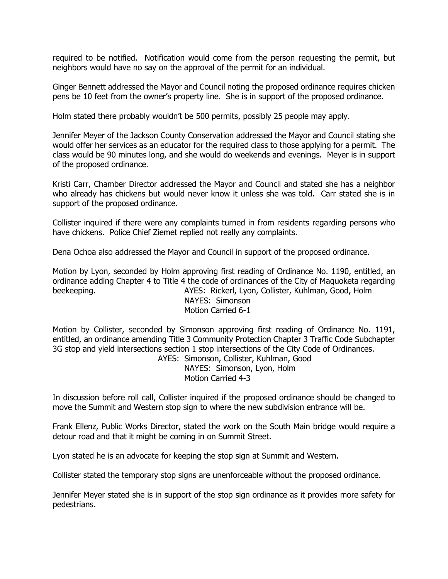required to be notified. Notification would come from the person requesting the permit, but neighbors would have no say on the approval of the permit for an individual.

Ginger Bennett addressed the Mayor and Council noting the proposed ordinance requires chicken pens be 10 feet from the owner's property line. She is in support of the proposed ordinance.

Holm stated there probably wouldn't be 500 permits, possibly 25 people may apply.

Jennifer Meyer of the Jackson County Conservation addressed the Mayor and Council stating she would offer her services as an educator for the required class to those applying for a permit. The class would be 90 minutes long, and she would do weekends and evenings. Meyer is in support of the proposed ordinance.

Kristi Carr, Chamber Director addressed the Mayor and Council and stated she has a neighbor who already has chickens but would never know it unless she was told. Carr stated she is in support of the proposed ordinance.

Collister inquired if there were any complaints turned in from residents regarding persons who have chickens. Police Chief Ziemet replied not really any complaints.

Dena Ochoa also addressed the Mayor and Council in support of the proposed ordinance.

Motion by Lyon, seconded by Holm approving first reading of Ordinance No. 1190, entitled, an ordinance adding Chapter 4 to Title 4 the code of ordinances of the City of Maquoketa regarding beekeeping. **AYES: Rickerl, Lyon, Collister, Kuhlman, Good, Holm** NAYES: Simonson

Motion Carried 6-1

Motion by Collister, seconded by Simonson approving first reading of Ordinance No. 1191, entitled, an ordinance amending Title 3 Community Protection Chapter 3 Traffic Code Subchapter 3G stop and yield intersections section 1 stop intersections of the City Code of Ordinances. AYES: Simonson, Collister, Kuhlman, Good

NAYES: Simonson, Lyon, Holm Motion Carried 4-3

In discussion before roll call, Collister inquired if the proposed ordinance should be changed to move the Summit and Western stop sign to where the new subdivision entrance will be.

Frank Ellenz, Public Works Director, stated the work on the South Main bridge would require a detour road and that it might be coming in on Summit Street.

Lyon stated he is an advocate for keeping the stop sign at Summit and Western.

Collister stated the temporary stop signs are unenforceable without the proposed ordinance.

Jennifer Meyer stated she is in support of the stop sign ordinance as it provides more safety for pedestrians.